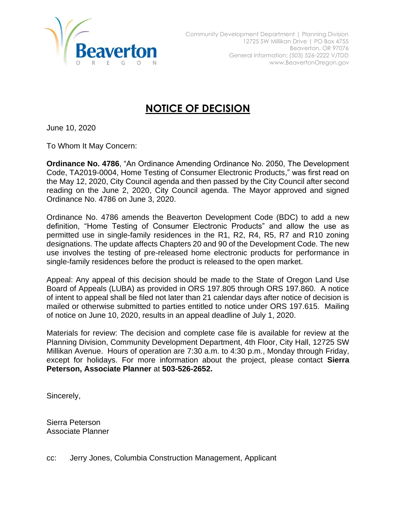

## **NOTICE OF DECISION**

June 10, 2020

To Whom It May Concern:

**Ordinance No. 4786**, "An Ordinance Amending Ordinance No. 2050, The Development Code, TA2019-0004, Home Testing of Consumer Electronic Products," was first read on the May 12, 2020, City Council agenda and then passed by the City Council after second reading on the June 2, 2020, City Council agenda. The Mayor approved and signed Ordinance No. 4786 on June 3, 2020.

Ordinance No. 4786 amends the Beaverton Development Code (BDC) to add a new definition, "Home Testing of Consumer Electronic Products" and allow the use as permitted use in single-family residences in the R1, R2, R4, R5, R7 and R10 zoning designations. The update affects Chapters 20 and 90 of the Development Code. The new use involves the testing of pre-released home electronic products for performance in single-family residences before the product is released to the open market.

Appeal: Any appeal of this decision should be made to the State of Oregon Land Use Board of Appeals (LUBA) as provided in ORS 197.805 through ORS 197.860. A notice of intent to appeal shall be filed not later than 21 calendar days after notice of decision is mailed or otherwise submitted to parties entitled to notice under ORS 197.615. Mailing of notice on June 10, 2020, results in an appeal deadline of July 1, 2020.

Materials for review: The decision and complete case file is available for review at the Planning Division, Community Development Department, 4th Floor, City Hall, 12725 SW Millikan Avenue. Hours of operation are 7:30 a.m. to 4:30 p.m., Monday through Friday, except for holidays. For more information about the project, please contact **Sierra Peterson, Associate Planner** at **503-526-2652.**

Sincerely,

Sierra Peterson Associate Planner

cc: Jerry Jones, Columbia Construction Management, Applicant